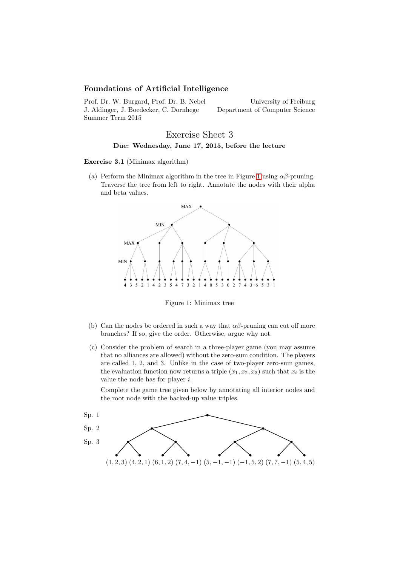# Foundations of Artificial Intelligence

Prof. Dr. W. Burgard, Prof. Dr. B. Nebel J. Aldinger, J. Boedecker, C. Dornhege Summer Term 2015

University of Freiburg Department of Computer Science

# Exercise Sheet 3 Due: Wednesday, June 17, 2015, before the lecture

Exercise 3.1 (Minimax algorithm)

(a) Perform the Minimax algorithm in the tree in Figure [1](#page-0-0) using  $\alpha\beta$ -pruning. Traverse the tree from left to right. Annotate the nodes with their alpha and beta values.



<span id="page-0-0"></span>Figure 1: Minimax tree

- (b) Can the nodes be ordered in such a way that  $\alpha\beta$ -pruning can cut off more branches? If so, give the order. Otherwise, argue why not.
- (c) Consider the problem of search in a three-player game (you may assume that no alliances are allowed) without the zero-sum condition. The players are called 1, 2, and 3. Unlike in the case of two-player zero-sum games, the evaluation function now returns a triple  $(x_1, x_2, x_3)$  such that  $x_i$  is the value the node has for player i.

Complete the game tree given below by annotating all interior nodes and the root node with the backed-up value triples.

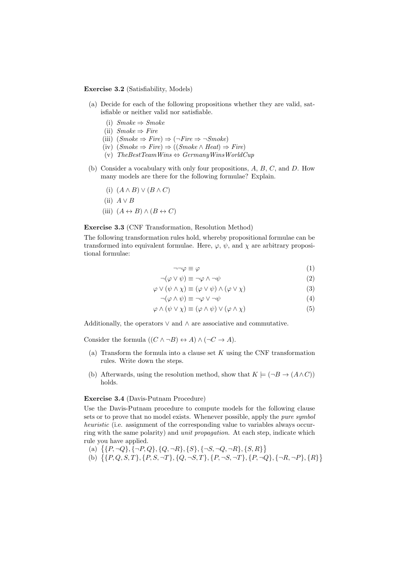#### Exercise 3.2 (Satisfiability, Models)

- (a) Decide for each of the following propositions whether they are valid, satisfiable or neither valid nor satisfiable.
	- (i)  $Smoke \Rightarrow Smoke$
	- (ii)  $Smoke \Rightarrow Fire$
	- (iii)  $(Smoke \Rightarrow Fire) \Rightarrow (\neg Fire \Rightarrow \neg Smoke)$
	- (iv)  $(Smoke \Rightarrow Fire) \Rightarrow ((Smoke \land Heat) \Rightarrow Fire)$
	- (v)  $The Best TeamWins \Leftrightarrow GermanyWinsWorldCup$
- (b) Consider a vocabulary with only four propositions, A, B, C, and D. How many models are there for the following formulae? Explain.
	- (i)  $(A \wedge B) \vee (B \wedge C)$
	- (ii)  $A \vee B$
	- (iii)  $(A \leftrightarrow B) \land (B \leftrightarrow C)$

### Exercise 3.3 (CNF Transformation, Resolution Method)

The following transformation rules hold, whereby propositional formulae can be transformed into equivalent formulae. Here,  $\varphi$ ,  $\psi$ , and  $\chi$  are arbitrary propositional formulae:

$$
\neg \neg \varphi \equiv \varphi \tag{1}
$$

$$
\neg(\varphi \lor \psi) \equiv \neg \varphi \land \neg \psi \tag{2}
$$

$$
\varphi \lor (\psi \land \chi) \equiv (\varphi \lor \psi) \land (\varphi \lor \chi) \tag{3}
$$

$$
\neg(\varphi \land \psi) \equiv \neg\varphi \lor \neg\psi \tag{4}
$$

$$
\varphi \wedge (\psi \vee \chi) \equiv (\varphi \wedge \psi) \vee (\varphi \wedge \chi) \tag{5}
$$

Additionally, the operators  $\vee$  and  $\wedge$  are associative and commutative.

Consider the formula  $((C \land \neg B) \leftrightarrow A) \land (\neg C \to A)$ .

- (a) Transform the formula into a clause set  $K$  using the CNF transformation rules. Write down the steps.
- (b) Afterwards, using the resolution method, show that  $K \models (\neg B \rightarrow (A \land C))$ holds.

#### Exercise 3.4 (Davis-Putnam Procedure)

Use the Davis-Putnam procedure to compute models for the following clause sets or to prove that no model exists. Whenever possible, apply the *pure symbol* heuristic (i.e. assignment of the corresponding value to variables always occurring with the same polarity) and unit propagation. At each step, indicate which rule you have applied.

- (a)  $\{ \{P, \neg Q\}, \{\neg P, Q\}, \{Q, \neg R\}, \{S\}, \{\neg S, \neg Q, \neg R\}, \{S, R\} \}$
- (b)  $\{\{P,Q,S,T\},\{P,S,\neg T\},\{Q,\neg S,T\},\{P,\neg S,\neg T\},\{P,\neg Q\},\{\neg R,\neg P\},\{R\}\}\$